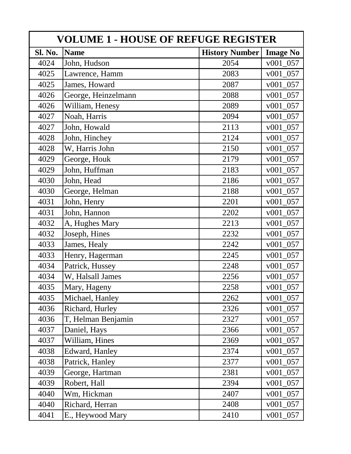| <b>VOLUME 1 - HOUSE OF REFUGE REGISTER</b> |                     |                       |                 |  |
|--------------------------------------------|---------------------|-----------------------|-----------------|--|
| Sl. No.                                    | <b>Name</b>         | <b>History Number</b> | <b>Image No</b> |  |
| 4024                                       | John, Hudson        | 2054                  | $v001_057$      |  |
| 4025                                       | Lawrence, Hamm      | 2083                  | v001 057        |  |
| 4025                                       | James, Howard       | 2087                  | v001 057        |  |
| 4026                                       | George, Heinzelmann | 2088                  | v001 057        |  |
| 4026                                       | William, Henesy     | 2089                  | 057<br>v001     |  |
| 4027                                       | Noah, Harris        | 2094                  | v001 057        |  |
| 4027                                       | John, Howald        | 2113                  | v001 057        |  |
| 4028                                       | John, Hinchey       | 2124                  | $v001_057$      |  |
| 4028                                       | W, Harris John      | 2150                  | v001 057        |  |
| 4029                                       | George, Houk        | 2179                  | v001 057        |  |
| 4029                                       | John, Huffman       | 2183                  | $v001_057$      |  |
| 4030                                       | John, Head          | 2186                  | $v001_057$      |  |
| 4030                                       | George, Helman      | 2188                  | v001 057        |  |
| 4031                                       | John, Henry         | 2201                  | v001 057        |  |
| 4031                                       | John, Hannon        | 2202                  | $v001_057$      |  |
| 4032                                       | A, Hughes Mary      | 2213                  | v001 057        |  |
| 4032                                       | Joseph, Hines       | 2232                  | v001 057        |  |
| 4033                                       | James, Healy        | 2242                  | $v001_057$      |  |
| 4033                                       | Henry, Hagerman     | 2245                  | v001 057        |  |
| 4034                                       | Patrick, Hussey     | 2248                  | v001 057        |  |
| 4034                                       | W, Halsall James    | 2256                  | v001 057        |  |
| 4035                                       | Mary, Hageny        | 2258                  | $v001_057$      |  |
| 4035                                       | Michael, Hanley     | 2262                  | v001<br>057     |  |
| 4036                                       | Richard, Hurley     | 2326                  | v001 057        |  |
| 4036                                       | T, Helman Benjamin  | 2327                  | $v001_057$      |  |
| 4037                                       | Daniel, Hays        | 2366                  | $v001_057$      |  |
| 4037                                       | William, Hines      | 2369                  | $v001_057$      |  |
| 4038                                       | Edward, Hanley      | 2374                  | $v001_057$      |  |
| 4038                                       | Patrick, Hanley     | 2377                  | $v001_057$      |  |
| 4039                                       | George, Hartman     | 2381                  | $v001_057$      |  |
| 4039                                       | Robert, Hall        | 2394                  | $v001_057$      |  |
| 4040                                       | Wm, Hickman         | 2407                  | $v001_057$      |  |
| 4040                                       | Richard, Herran     | 2408                  | $v001_057$      |  |
| 4041                                       | E., Heywood Mary    | 2410                  | v001 057        |  |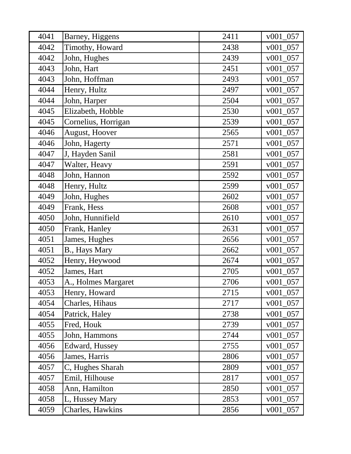| 4041 | Barney, Higgens     | 2411 | $v001_057$  |
|------|---------------------|------|-------------|
| 4042 | Timothy, Howard     | 2438 | v001<br>057 |
| 4042 | John, Hughes        | 2439 | $v001_057$  |
| 4043 | John, Hart          | 2451 | v001 057    |
| 4043 | John, Hoffman       | 2493 | $v001_057$  |
| 4044 | Henry, Hultz        | 2497 | $v001_057$  |
| 4044 | John, Harper        | 2504 | v001 057    |
| 4045 | Elizabeth, Hobble   | 2530 | $v001_057$  |
| 4045 | Cornelius, Horrigan | 2539 | $v001_057$  |
| 4046 | August, Hoover      | 2565 | v001 057    |
| 4046 | John, Hagerty       | 2571 | $v001_057$  |
| 4047 | J, Hayden Sanil     | 2581 | v001 057    |
| 4047 | Walter, Heavy       | 2591 | $v001_057$  |
| 4048 | John, Hannon        | 2592 | $v001_057$  |
| 4048 | Henry, Hultz        | 2599 | 057<br>v001 |
| 4049 | John, Hughes        | 2602 | v001<br>057 |
| 4049 | Frank, Hess         | 2608 | v001<br>057 |
| 4050 | John, Hunnifield    | 2610 | $v001_057$  |
| 4050 | Frank, Hanley       | 2631 | $v001_057$  |
| 4051 | James, Hughes       | 2656 | v001 057    |
| 4051 | B., Hays Mary       | 2662 | $v001_057$  |
| 4052 | Henry, Heywood      | 2674 | v001<br>057 |
| 4052 | James, Hart         | 2705 | v001 057    |
| 4053 | A., Holmes Margaret | 2706 | v001 057    |
| 4053 | Henry, Howard       | 2715 | v001 057    |
| 4054 | Charles, Hihaus     | 2717 | v001 057    |
| 4054 | Patrick, Haley      | 2738 | $v001_057$  |
| 4055 | Fred, Houk          | 2739 | v001<br>057 |
| 4055 | John, Hammons       | 2744 | v001<br>057 |
| 4056 | Edward, Hussey      | 2755 | 057<br>v001 |
| 4056 | James, Harris       | 2806 | $v001_057$  |
| 4057 | C, Hughes Sharah    | 2809 | $v001_057$  |
| 4057 | Emil, Hilhouse      | 2817 | $v001_057$  |
| 4058 | Ann, Hamilton       | 2850 | $v001_057$  |
| 4058 | L, Hussey Mary      | 2853 | v001<br>057 |
| 4059 | Charles, Hawkins    | 2856 | v001 057    |